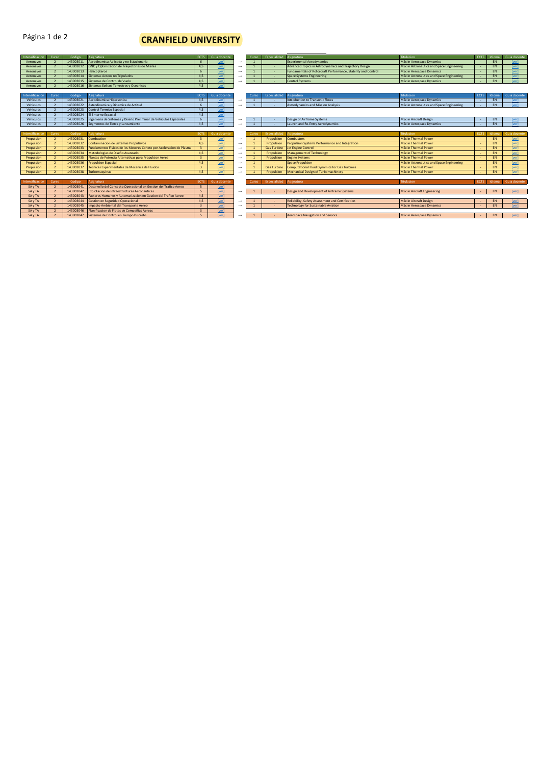## Página 1 de 2

## **CRANFIELD UNIVERSITY**

| Intensificacion        | Curso          | Codigo    | Asienatura                                                         | <b>ECTS</b>              | <b>Guia docente</b>        |                   | Curso | Especialidad       | Asignatura                                                    | Titulacion                                | ECTS        | Idioma    | Guia docente        |
|------------------------|----------------|-----------|--------------------------------------------------------------------|--------------------------|----------------------------|-------------------|-------|--------------------|---------------------------------------------------------------|-------------------------------------------|-------------|-----------|---------------------|
| Aeronaves              |                | 143003011 | Aerodinamica Aplicada y no Estacionaria                            |                          | <b>Iver</b>                | $\longrightarrow$ |       |                    | <b>Experimental Aerodynamics</b>                              | <b>MSc in Aerospace Dynamics</b>          |             | EN        | <b>Iver1</b>        |
| Aeronaves              |                | 143003012 | GNC y Optimizacion de Trayectorias de Misiles                      | 4.5                      | <b>Iver1</b>               | $\longrightarrow$ |       |                    | Advanced Topics in Astrodynamics and Trajectory Design        | MSc in Astronautics and Space Engineering |             | EN        | [ver]               |
| Aeronaves              |                | 143003013 | <b>Helicopteros</b>                                                | 6                        | <i><u><b>Iverl</b></u></i> | $\rightarrow$     |       |                    | Fundamentals of Rotorcraft Performance, Stability and Control | <b>MSc in Aerospace Dynamics</b>          |             | EN        | [ver]               |
| Aeronaves              |                | 143003014 | Sistemas Aereos no Tripulados                                      | 4.5                      | <b>Iver</b>                | $\longrightarrow$ |       |                    | <b>Space Systems Engineering</b>                              | MSc in Astronautics and Space Engineering |             | EN        | <b>Iver1</b>        |
| Aeronaves              |                | 143003015 | Sistemas de Control de Vuelo                                       | 4.5                      | <b>Iver</b>                | $\longrightarrow$ |       |                    | <b>Control Systems</b>                                        | <b>MSc in Aerospace Dynamics</b>          |             | EN        | [ver]               |
| Aeronaves              |                | 143003016 | Sistemas Eolicos Terrestres y Oceanicos                            | 4,5                      | <b>Iver1</b>               |                   |       |                    |                                                               |                                           |             |           |                     |
|                        |                |           |                                                                    |                          |                            |                   |       |                    |                                                               |                                           |             |           |                     |
| <b>Intensificacion</b> | Curso          | Codigo    | Asienatura                                                         | <b>ECTS</b>              | Guia docente               |                   | Curso | Especialidad       | Asienatura                                                    | <b>Titulacion</b>                         | <b>ECTS</b> | Idioma    | <b>Guia docente</b> |
| Vehiculos              |                | 143003021 | Aerodinamica Hipersonica                                           | 4,5                      | <b>Iver1</b>               | $\rightarrow$     |       |                    | <b>Introduction to Transonic Flows</b>                        | <b>MSc in Aerospace Dynamics</b>          |             | <b>EN</b> | [ver]               |
| Vehiculos              |                | 143003022 | Astrodinamica y Dinamica de Actitud                                |                          | <b>Iver1</b>               | $\longrightarrow$ |       |                    | <b>Astrodynamics and Mission Analysis</b>                     | MSc in Astronautics and Space Engineering | $\sim$      | EN        | [ver]               |
| Vehiculos              |                | 143003023 | <b>Control Termico Espacial</b>                                    | 4.5                      | <b>Iver1</b>               |                   |       |                    |                                                               |                                           |             |           |                     |
| Vehiculos              |                | 143003024 | El Entorno Espacial                                                | 4.5                      | <b>Iver1</b>               |                   |       |                    |                                                               |                                           |             |           |                     |
| Vehiculos              |                | 143003025 | Ingenieria de Sistemas y Diseño Preliminar de Vehiculos Espaciales | -6                       | <b>Iver1</b>               | $\longrightarrow$ |       | - 1                | Design of Airframe Systems                                    | <b>MSc in Aircraft Design</b>             | $\sim$      | <b>EN</b> |                     |
| Vehiculos              |                | 143003026 | Segmentos de Tierra y Lanzamiento                                  | 4,5                      | <b>Iver1</b>               | $\longrightarrow$ |       |                    | Launch and Re-Entry Aerodynamics                              | MSc in Aerospace Dynamics                 |             | EN        | <b>Iver1</b>        |
|                        |                |           |                                                                    |                          |                            |                   |       |                    |                                                               |                                           |             |           |                     |
| Intensificacio         | Curso          | Codigo    | sienatura                                                          |                          | iuia docent                |                   | Curso | Especialidad       | <b>Isienatura</b>                                             | <b>Titulacion</b>                         | <b>ECTS</b> |           | <b>Suia docente</b> |
| Propulsion             | $\overline{2}$ | 143003031 | Combustion                                                         | $\mathbf{R}$             | [ver]                      | $\longrightarrow$ |       | Propulsion         | Combustors                                                    | <b>MSc in Thermal Power</b>               |             | EN        | [ver]               |
| Propulsion             | $\overline{2}$ | 143003032 | <b>Contaminacion de Sistemas Propulsivos</b>                       | 4.5                      | <i><u><b>Iverl</b></u></i> | $\longrightarrow$ |       | Propulsion         | <b>Propulsion Systems Performance and Integration</b>         | <b>MSc in Thermal Power</b>               |             | <b>EN</b> | [ver]               |
| Propulsion             |                | 143003033 | Fundamentos Fisicos de los Motores Cohete por Aceleracion de Plasm | $\mathbf{R}$             | <b>Iver</b>                | $\longrightarrow$ |       | <b>Gas Turbine</b> | <b>Jet Engine Control</b>                                     | <b>MSc in Thermal Power</b>               |             | <b>EN</b> | <b>Iver1</b>        |
| Propulsion             |                | 143003034 | Metodologias de Diseño Avanzado                                    | 4.5                      | <b>Iver</b>                | $\longrightarrow$ |       | Propulsion         | <b>Management of Technology</b>                               | <b>MSc in Thermal Power</b>               |             | <b>EN</b> | [ver]               |
| Propulsion             |                | 143003035 | Plantas de Potencia Alternativas para Propulsion Aerea             |                          | <b>Iver</b>                | $\rightarrow$     |       | Propulsion         | <b>Engine Systems</b>                                         | <b>MSc in Thermal Power</b>               |             | <b>EN</b> | [ver]               |
| Propulsion             |                | 143003036 | <b>Propulsion Espacial</b>                                         | 4.5                      | <b>Iver</b>                | $\rightarrow$     |       |                    | <b>Space Propulsion</b>                                       | MSc in Astronautics and Space Engineering |             | <b>EN</b> | <b>Iver1</b>        |
| Propulsion             |                | 143003037 | Tecnicas Experimentales de Mecanica de Fluidos                     | $\overline{3}$           | <i><u><b>Iverl</b></u></i> | $\rightarrow$     |       | <b>Gas Turbine</b> | <b>Computational Fluid Dynamics for Gas Turbines</b>          | <b>MSc in Thermal Power</b>               |             | <b>EN</b> | <b>Iver1</b>        |
| Propulsion             |                | 143003038 | <b>Turbomaguinas</b>                                               | 4.5                      | <b>Iver</b>                | $\rightarrow$     |       | Propulsion         | <b>Mechanical Design of Turbomachinery</b>                    | <b>MSc in Thermal Power</b>               |             | <b>EN</b> | <b>Iver1</b>        |
|                        |                |           |                                                                    |                          |                            |                   |       |                    |                                                               |                                           |             |           |                     |
| Intensificacion        | Curso          | Codigo    | <b>Isienatura</b>                                                  | <b>ECTS</b>              | Guia docenti               |                   | Curso | Especialidad       | Asignatura                                                    | <b>Titulacion</b>                         | <b>ECTS</b> | Idioma    | Guia docente        |
| <b>SA v TA</b>         |                | 143003041 | Desarrollo del Concepto Operacional en Gestion del Trafico Aereo   | $\overline{5}$           | <i><u><b>Iverl</b></u></i> |                   |       |                    |                                                               |                                           |             |           |                     |
| <b>SA v TA</b>         | $\overline{2}$ | 143003042 | Explotacion de Infraestructuras Aeronauticas                       | $\overline{\phantom{0}}$ | <b>Iver1</b>               | $\rightarrow$     |       |                    | Design and Development of Airframe Systems                    | MSc in Aircraft Engineering               |             | EN        | <b>Iver1</b>        |
| SAyTA                  |                | 143003043 | Factores Humanos y Automatizacion en Gestion del Trafico Aereo     | 4,5                      | [ver]                      |                   |       |                    |                                                               |                                           |             |           |                     |
| <b>SA v TA</b>         |                | 143003044 | <b>Gestion en Seguridad Operacional</b>                            | 4.5                      | [ver]                      | $\rightarrow$     |       |                    | <b>Reliability, Safety Assessment and Certification</b>       | <b>MSc in Aircraft Design</b>             |             | <b>EN</b> | [ver]               |
| <b>SA v TA</b>         |                | 143003045 | mpacto Ambiental del Transporte Aereo                              |                          | <b>Iver1</b>               | $\rightarrow$     |       |                    | <b>Technology for Sustainable Aviation</b>                    | <b>MSc in Aerospace Dynamics</b>          |             | <b>EN</b> | <b>Iver1</b>        |
| <b>SA v TA</b>         |                | 143003046 | Planificacion de Flotas de Compañias Aereas                        |                          | [ver]                      |                   |       |                    |                                                               |                                           |             |           |                     |
| <b>SA v TA</b>         |                | 143003047 | Sistemas de Control en Tiempo Discreto                             | $\overline{\phantom{a}}$ | <b>Iver1</b>               | $\rightarrow$     |       |                    | Aerospace Navigation and Sensors                              | MSc in Aerospace Dynamics                 |             | EN        | [ver]               |